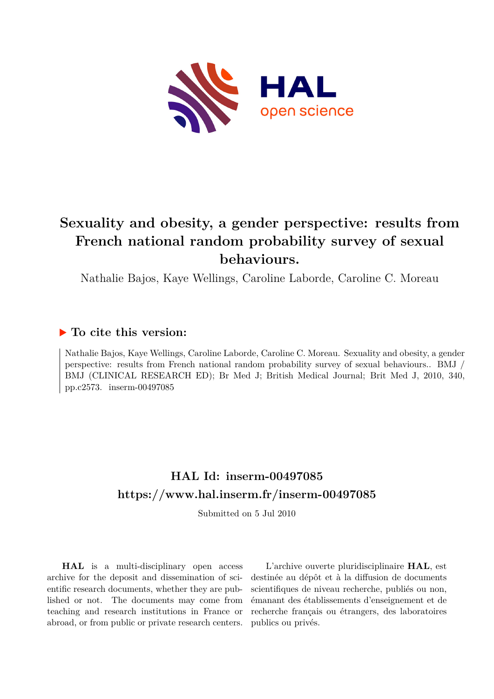

# **Sexuality and obesity, a gender perspective: results from French national random probability survey of sexual behaviours.**

Nathalie Bajos, Kaye Wellings, Caroline Laborde, Caroline C. Moreau

### **To cite this version:**

Nathalie Bajos, Kaye Wellings, Caroline Laborde, Caroline C. Moreau. Sexuality and obesity, a gender perspective: results from French national random probability survey of sexual behaviours.. BMJ / BMJ (CLINICAL RESEARCH ED); Br Med J; British Medical Journal; Brit Med J, 2010, 340, pp.c2573. inserm-00497085

## **HAL Id: inserm-00497085 <https://www.hal.inserm.fr/inserm-00497085>**

Submitted on 5 Jul 2010

**HAL** is a multi-disciplinary open access archive for the deposit and dissemination of scientific research documents, whether they are published or not. The documents may come from teaching and research institutions in France or abroad, or from public or private research centers.

L'archive ouverte pluridisciplinaire **HAL**, est destinée au dépôt et à la diffusion de documents scientifiques de niveau recherche, publiés ou non, émanant des établissements d'enseignement et de recherche français ou étrangers, des laboratoires publics ou privés.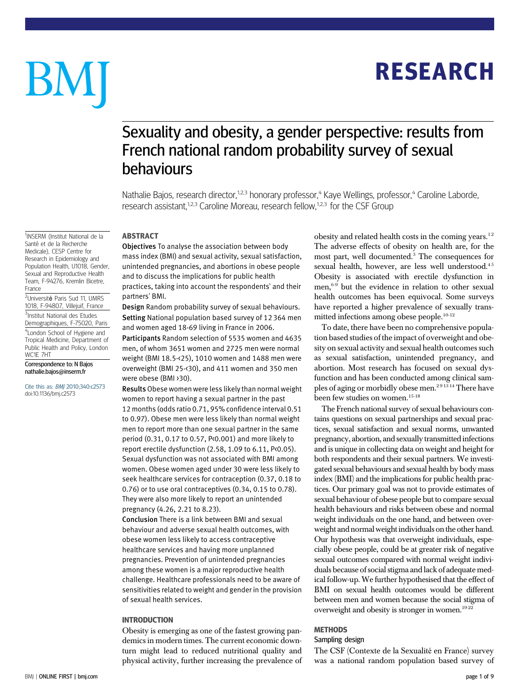# RESEARCH

# BM

# Sexuality and obesity, a gender perspective: results from French national random probability survey of sexual behaviours

Nathalie Bajos, research director,<sup>1,2,3</sup> honorary professor,<sup>4</sup> Kaye Wellings, professor,<sup>4</sup> Caroline Laborde, research assistant,<sup>1,2,3</sup> Caroline Moreau, research fellow,<sup>1,2,3</sup> for the CSF Group

#### <sup>1</sup>INSERM (Institut National de la Santé et de la Recherche Medicale), CESP Centre for Research in Epidemiology and Population Health, U1018, Gender Sexual and Reproductive Health Team, F-94276, Kremlin Bicetre,

France <sup>2</sup>Université Paris Sud 11, UMRS 1018, F-94807, Villejuif, France <sup>3</sup>Institut National des Etudes

Demographiques, F-75020, Paris 4London School of Hygiene and

Tropical Medicine, Department of Public Health and Policy, London WC1E 7HT

Correspondence to: N Bajos nathalie.bajos@inserm.fr

Cite this as: BMJ 2010;340:c2573 doi:10.1136/bmj.c2573

#### ABSTRACT

Objectives To analyse the association between body mass index (BMI) and sexual activity, sexual satisfaction, unintended pregnancies, and abortions in obese people and to discuss the implications for public health practices, taking into account the respondents' and their partners' BMI.

Design Random probability survey of sexual behaviours. Setting National population based survey of 12 364 men and women aged 18-69 living in France in 2006.

Participants Random selection of 5535 women and 4635 men, of whom 3651 women and 2725 men were normal weight (BMI 18.5-<25), 1010 women and 1488 men were overweight (BMI 25-<30), and 411 women and 350 men were obese (BMI >30).

Results Obese women were less likely than normal weight women to report having a sexual partner in the past 12 months (odds ratio 0.71, 95% confidence interval 0.51 to 0.97). Obese men were less likely than normal weight men to report more than one sexual partner in the same period (0.31, 0.17 to 0.57, P<0.001) and more likely to report erectile dysfunction (2.58, 1.09 to 6.11, P<0.05). Sexual dysfunction was not associated with BMI among women. Obese women aged under 30 were less likely to seek healthcare services for contraception (0.37, 0.18 to 0.76) or to use oral contraceptives (0.34, 0.15 to 0.78). They were also more likely to report an unintended pregnancy (4.26, 2.21 to 8.23).

Conclusion There is a link between BMI and sexual behaviour and adverse sexual health outcomes, with obese women less likely to access contraceptive healthcare services and having more unplanned pregnancies. Prevention of unintended pregnancies among these women is a major reproductive health challenge. Healthcare professionals need to be aware of sensitivities related to weight and gender in the provision of sexual health services.

#### **INTRODUCTION**

Obesity is emerging as one of the fastest growing pandemics in modern times. The current economic downturn might lead to reduced nutritional quality and physical activity, further increasing the prevalence of obesity and related health costs in the coming years.<sup>12</sup> The adverse effects of obesity on health are, for the most part, well documented.3 The consequences for sexual health, however, are less well understood.<sup>45</sup> Obesity is associated with erectile dysfunction in men,6-9 but the evidence in relation to other sexual health outcomes has been equivocal. Some surveys have reported a higher prevalence of sexually transmitted infections among obese people.10-12

To date, there have been no comprehensive population based studies of the impact of overweight and obesity on sexual activity and sexual health outcomes such as sexual satisfaction, unintended pregnancy, and abortion. Most research has focused on sexual dysfunction and has been conducted among clinical samples of aging or morbidly obese men.<sup>291314</sup> There have been few studies on women.<sup>15-18</sup>

The French national survey of sexual behaviours contains questions on sexual partnerships and sexual practices, sexual satisfaction and sexual norms, unwanted pregnancy, abortion, and sexually transmitted infections and is unique in collecting data on weight and height for both respondents and their sexual partners. We investigated sexual behaviours and sexual health by body mass index (BMI) and the implications for public health practices. Our primary goal was not to provide estimates of sexual behaviour of obese people but to compare sexual health behaviours and risks between obese and normal weight individuals on the one hand, and between overweight and normal weight individuals on the other hand. Our hypothesis was that overweight individuals, especially obese people, could be at greater risk of negative sexual outcomes compared with normal weight individuals because of social stigma and lack of adequate medical follow-up. We further hypothesised that the effect of BMI on sexual health outcomes would be different between men and women because the social stigma of overweight and obesity is stronger in women.<sup>19-22</sup>

#### **METHODS**

#### Sampling design

The CSF (Contexte de la Sexualité en France) survey was a national random population based survey of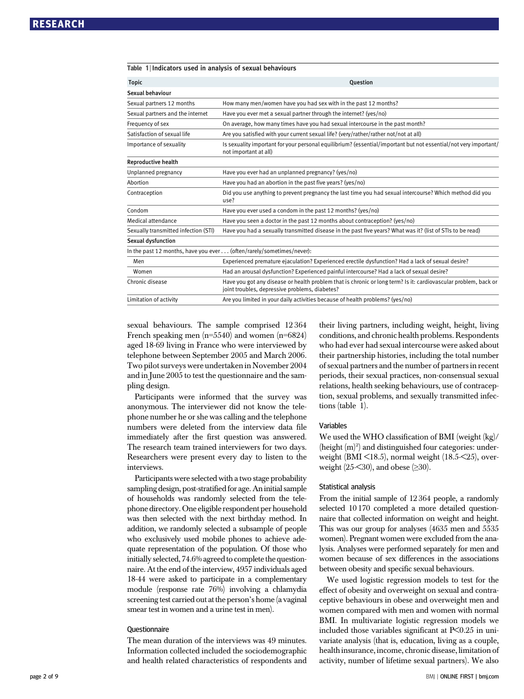| Table 1   Indicators used in analysis of sexual behaviours |                                                                                                                                                                   |
|------------------------------------------------------------|-------------------------------------------------------------------------------------------------------------------------------------------------------------------|
| <b>Topic</b>                                               | <b>Ouestion</b>                                                                                                                                                   |
| Sexual behaviour                                           |                                                                                                                                                                   |
| Sexual partners 12 months                                  | How many men/women have you had sex with in the past 12 months?                                                                                                   |
| Sexual partners and the internet                           | Have you ever met a sexual partner through the internet? (yes/no)                                                                                                 |
| Frequency of sex                                           | On average, how many times have you had sexual intercourse in the past month?                                                                                     |
| Satisfaction of sexual life                                | Are you satisfied with your current sexual life? (very/rather/rather not/not at all)                                                                              |
| Importance of sexuality                                    | Is sexuality important for your personal equilibrium? (essential/important but not essential/not very important/<br>not important at all)                         |
| Reproductive health                                        |                                                                                                                                                                   |
| Unplanned pregnancy                                        | Have you ever had an unplanned pregnancy? (yes/no)                                                                                                                |
| Abortion                                                   | Have you had an abortion in the past five years? (yes/no)                                                                                                         |
| Contraception                                              | Did you use anything to prevent pregnancy the last time you had sexual intercourse? Which method did you<br>use?                                                  |
| Condom                                                     | Have you ever used a condom in the past 12 months? (yes/no)                                                                                                       |
| Medical attendance                                         | Have you seen a doctor in the past 12 months about contraception? (yes/no)                                                                                        |
| Sexually transmitted infection (STI)                       | Have you had a sexually transmitted disease in the past five years? What was it? (list of STIs to be read)                                                        |
| Sexual dysfunction                                         |                                                                                                                                                                   |
|                                                            | In the past 12 months, have you ever (often/rarely/sometimes/never):                                                                                              |
| Men                                                        | Experienced premature ejaculation? Experienced erectile dysfunction? Had a lack of sexual desire?                                                                 |
| Women                                                      | Had an arousal dysfunction? Experienced painful intercourse? Had a lack of sexual desire?                                                                         |
| Chronic disease                                            | Have you got any disease or health problem that is chronic or long term? Is it: cardiovascular problem, back or<br>joint troubles, depressive problems, diabetes? |
| Limitation of activity                                     | Are you limited in your daily activities because of health problems? (yes/no)                                                                                     |
|                                                            |                                                                                                                                                                   |

sexual behaviours. The sample comprised 12 364 French speaking men  $(n=5540)$  and women  $(n=6824)$ aged 18-69 living in France who were interviewed by telephone between September 2005 and March 2006. Two pilot surveys were undertaken in November 2004 and in June 2005 to test the questionnaire and the sampling design.

Participants were informed that the survey was anonymous. The interviewer did not know the telephone number he or she was calling and the telephone numbers were deleted from the interview data file immediately after the first question was answered. The research team trained interviewers for two days. Researchers were present every day to listen to the interviews.

Participants were selected with a two stage probability sampling design, post-stratified for age. An initial sample of households was randomly selected from the telephone directory. One eligible respondent per household was then selected with the next birthday method. In addition, we randomly selected a subsample of people who exclusively used mobile phones to achieve adequate representation of the population. Of those who initially selected, 74.6% agreed to complete the questionnaire. At the end of the interview, 4957 individuals aged 18-44 were asked to participate in a complementary module (response rate 76%) involving a chlamydia screening test carried out at the person's home (a vaginal smear test in women and a urine test in men).

#### **Questionnaire**

The mean duration of the interviews was 49 minutes. Information collected included the sociodemographic and health related characteristics of respondents and their living partners, including weight, height, living conditions, and chronic health problems. Respondents who had ever had sexual intercourse were asked about their partnership histories, including the total number of sexual partners and the number of partners in recent periods, their sexual practices, non-consensual sexual relations, health seeking behaviours, use of contraception, sexual problems, and sexually transmitted infections (table 1).

#### Variables

We used the WHO classification of BMI (weight (kg)/ (height  $(m)^2$ ) and distinguished four categories: underweight (BMI <18.5), normal weight (18.5-<25), overweight  $(25<30)$ , and obese  $(\geq 30)$ .

#### Statistical analysis

From the initial sample of 12 364 people, a randomly selected 10 170 completed a more detailed questionnaire that collected information on weight and height. This was our group for analyses (4635 men and 5535 women). Pregnant women were excluded from the analysis. Analyses were performed separately for men and women because of sex differences in the associations between obesity and specific sexual behaviours.

We used logistic regression models to test for the effect of obesity and overweight on sexual and contraceptive behaviours in obese and overweight men and women compared with men and women with normal BMI. In multivariate logistic regression models we included those variables significant at  $P<0.25$  in univariate analysis (that is, education, living as a couple, health insurance, income, chronic disease, limitation of activity, number of lifetime sexual partners). We also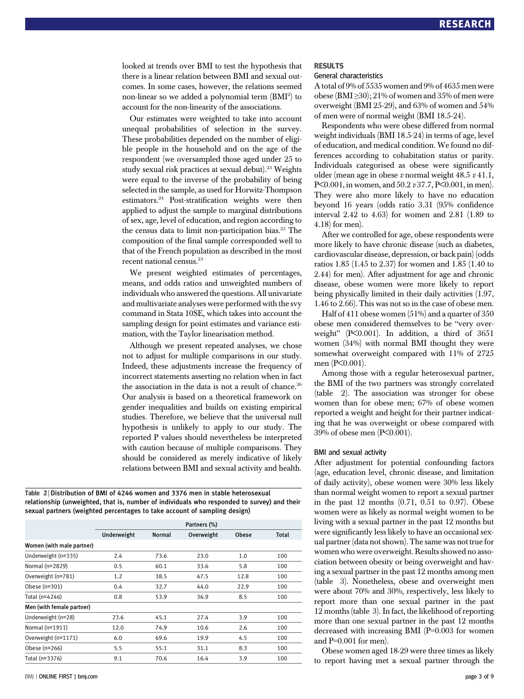looked at trends over BMI to test the hypothesis that there is a linear relation between BMI and sexual outcomes. In some cases, however, the relations seemed non-linear so we added a polynomial term (BMI2 ) to account for the non-linearity of the associations.

Our estimates were weighted to take into account unequal probabilities of selection in the survey. These probabilities depended on the number of eligible people in the household and on the age of the respondent (we oversampled those aged under 25 to study sexual risk practices at sexual debut).<sup>23</sup> Weights were equal to the inverse of the probability of being selected in the sample, as used for Horwitz-Thompson estimators.24 Post-stratification weights were then applied to adjust the sample to marginal distributions of sex, age, level of education, and region according to the census data to limit non-participation bias.<sup>25</sup> The composition of the final sample corresponded well to that of the French population as described in the most recent national census.<sup>23</sup>

We present weighted estimates of percentages, means, and odds ratios and unweighted numbers of individuals who answered the questions. All univariate and multivariate analyses were performed with the svy command in Stata 10SE, which takes into account the sampling design for point estimates and variance estimation, with the Taylor linearisation method.

Although we present repeated analyses, we chose not to adjust for multiple comparisons in our study. Indeed, these adjustments increase the frequency of incorrect statements asserting no relation when in fact the association in the data is not a result of chance.<sup>26</sup> Our analysis is based on a theoretical framework on gender inequalities and builds on existing empirical studies. Therefore, we believe that the universal null hypothesis is unlikely to apply to our study. The reported P values should nevertheless be interpreted with caution because of multiple comparisons. They should be considered as merely indicative of likely relations between BMI and sexual activity and health.

Table 2 <sup>|</sup> Distribution of BMI of 4246 women and 3376 men in stable heterosexual relationship (unweighted, that is, number of individuals who responded to survey) and their sexual partners (weighted percentages to take account of sampling design)

|                           |             | Partners (%)  |            |       |       |  |  |  |  |
|---------------------------|-------------|---------------|------------|-------|-------|--|--|--|--|
|                           | Underweight | <b>Normal</b> | Overweight | Obese | Total |  |  |  |  |
| Women (with male partner) |             |               |            |       |       |  |  |  |  |
| Underweight (n=335)       | 2.4         | 73.6          | 23.0       | 1.0   | 100   |  |  |  |  |
| Normal (n=2829)           | 0.5         | 60.1          | 33.6       | 5.8   | 100   |  |  |  |  |
| Overweight (n=781)        | 1.2         | 38.5          | 47.5       | 12.8  | 100   |  |  |  |  |
| Obese (n=301)             | 0.4         | 32.7          | 44.0       | 22.9  | 100   |  |  |  |  |
| Total (n=4246)            | 0.8         | 53.9          | 36.9       | 8.5   | 100   |  |  |  |  |
| Men (with female partner) |             |               |            |       |       |  |  |  |  |
| Underweight (n=28)        | 23.6        | 45.1          | 27.4       | 3.9   | 100   |  |  |  |  |
| Normal (n=1911)           | 12.0        | 74.9          | 10.6       | 2.6   | 100   |  |  |  |  |
| Overweight (n=1171)       | 6.0         | 69.6          | 19.9       | 4.5   | 100   |  |  |  |  |
| Obese (n=266)             | 5.5         | 55.1          | 31.1       | 8.3   | 100   |  |  |  |  |
| Total (n=3376)            | 9.1         | 70.6          | 16.4       | 3.9   | 100   |  |  |  |  |

#### RESULTS

#### General characteristics

A total of 9% of 5535 women and 9% of 4635 men were obese (BMI $\geq$ 30); 21% of women and 35% of men were overweight (BMI 25-29), and 63% of women and 54% of men were of normal weight (BMI 18.5-24).

Respondents who were obese differed from normal weight individuals (BMI 18.5-24) in terms of age, level of education, and medical condition. We found no differences according to cohabitation status or parity. Individuals categorised as obese were significantly older (mean age in obese v normal weight  $48.5 \text{ v } 41.1$ , P<0.001, in women, and 50.2 v 37.7, P<0.001, in men). They were also more likely to have no education beyond 16 years (odds ratio 3.31 (95% confidence interval 2.42 to 4.63) for women and 2.81 (1.89 to 4.18) for men).

After we controlled for age, obese respondents were more likely to have chronic disease (such as diabetes, cardiovascular disease, depression, or back pain) (odds ratios 1.85 (1.45 to 2.37) for women and 1.85 (1.40 to 2.44) for men). After adjustment for age and chronic disease, obese women were more likely to report being physically limited in their daily activities (1.97, 1.46 to 2.66). This was not so in the case of obese men.

Half of 411 obese women (51%) and a quarter of 350 obese men considered themselves to be "very overweight" (P<0.001). In addition, a third of 3651 women (34%) with normal BMI thought they were somewhat overweight compared with 11% of 2725 men (P<0.001).

Among those with a regular heterosexual partner, the BMI of the two partners was strongly correlated (table 2). The association was stronger for obese women than for obese men; 67% of obese women reported a weight and height for their partner indicating that he was overweight or obese compared with 39% of obese men (P<0.001).

#### BMI and sexual activity

After adjustment for potential confounding factors (age, education level, chronic disease, and limitation of daily activity), obese women were 30% less likely than normal weight women to report a sexual partner in the past 12 months (0.71, 0.51 to 0.97). Obese women were as likely as normal weight women to be living with a sexual partner in the past 12 months but were significantly less likely to have an occasional sexual partner (data not shown). The same was not true for women who were overweight. Results showed no association between obesity or being overweight and having a sexual partner in the past 12 months among men (table 3). Nonetheless, obese and overweight men were about 70% and 30%, respectively, less likely to report more than one sexual partner in the past 12 months (table 3). In fact, the likelihood of reporting more than one sexual partner in the past 12 months decreased with increasing BMI (P=0.003 for women and P=0.001 for men).

Obese women aged 18-29 were three times as likely to report having met a sexual partner through the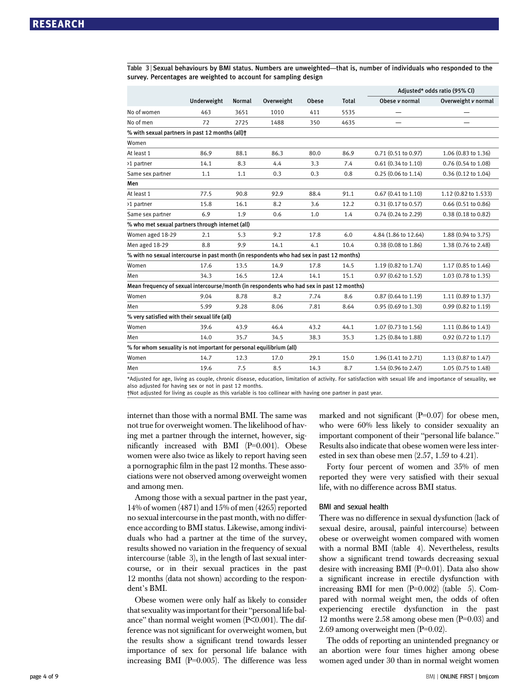Table 3 <sup>|</sup> Sexual behaviours by BMI status. Numbers are unweighted—that is, number of individuals who responded to the survey. Percentages are weighted to account for sampling design

|                                                                                           |             |               |            | Adjusted* odds ratio (95% CI) |              |                               |                      |
|-------------------------------------------------------------------------------------------|-------------|---------------|------------|-------------------------------|--------------|-------------------------------|----------------------|
|                                                                                           | Underweight | <b>Normal</b> | Overweight | <b>Obese</b>                  | <b>Total</b> | Obese v normal                | Overweight v normal  |
| No of women                                                                               | 463         | 3651          | 1010       | 411                           | 5535         |                               |                      |
| No of men                                                                                 | 72          | 2725          | 1488       | 350                           | 4635         |                               |                      |
| % with sexual partners in past 12 months (all)+                                           |             |               |            |                               |              |                               |                      |
| Women                                                                                     |             |               |            |                               |              |                               |                      |
| At least 1                                                                                | 86.9        | 88.1          | 86.3       | 80.0                          | 86.9         | 0.71 (0.51 to 0.97)           | 1.06 (0.83 to 1.36)  |
| >1 partner                                                                                | 14.1        | 8.3           | 4.4        | 3.3                           | 7.4          | $0.61$ $(0.34$ to $1.10)$     | 0.76 (0.54 to 1.08)  |
| Same sex partner                                                                          | 1.1         | 1.1           | 0.3        | 0.3                           | 0.8          | $0.25(0.06 \text{ to } 1.14)$ | 0.36 (0.12 to 1.04)  |
| Men                                                                                       |             |               |            |                               |              |                               |                      |
| At least 1                                                                                | 77.5        | 90.8          | 92.9       | 88.4                          | 91.1         | $0.67$ (0.41 to 1.10)         | 1.12 (0.82 to 1.533) |
| >1 partner                                                                                | 15.8        | 16.1          | 8.2        | 3.6                           | 12.2         | $0.31$ $(0.17$ to $0.57)$     | 0.66 (0.51 to 0.86)  |
| Same sex partner                                                                          | 6.9         | 1.9           | 0.6        | 1.0                           | 1.4          | $0.74$ $(0.24$ to $2.29)$     | 0.38 (0.18 to 0.82)  |
| % who met sexual partners through internet (all)                                          |             |               |            |                               |              |                               |                      |
| Women aged 18-29                                                                          | 2.1         | 5.3           | 9.2        | 17.8                          | 6.0          | 4.84 (1.86 to 12.64)          | 1.88 (0.94 to 3.75)  |
| Men aged 18-29                                                                            | 8.8         | 9.9           | 14.1       | 4.1                           | 10.4         | 0.38 (0.08 to 1.86)           | 1.38 (0.76 to 2.48)  |
| % with no sexual intercourse in past month (in respondents who had sex in past 12 months) |             |               |            |                               |              |                               |                      |
| Women                                                                                     | 17.6        | 13.5          | 14.9       | 17.8                          | 14.5         | 1.19 (0.82 to 1.74)           | 1.17 (0.85 to 1.46)  |
| Men                                                                                       | 34.3        | 16.5          | 12.4       | 14.1                          | 15.1         | 0.97 (0.62 to 1.52)           | 1.03 (0.78 to 1.35)  |
| Mean frequency of sexual intercourse/month (in respondents who had sex in past 12 months) |             |               |            |                               |              |                               |                      |
| Women                                                                                     | 9.04        | 8.78          | 8.2        | 7.74                          | 8.6          | $0.87(0.64 \text{ to } 1.19)$ | 1.11 (0.89 to 1.37)  |
| Men                                                                                       | 5.99        | 9.28          | 8.06       | 7.81                          | 8.64         | 0.95 (0.69 to 1.30)           | 0.99 (0.82 to 1.19)  |
| % very satisfied with their sexual life (all)                                             |             |               |            |                               |              |                               |                      |
| Women                                                                                     | 39.6        | 43.9          | 46.4       | 43.2                          | 44.1         | 1.07 (0.73 to 1.56)           | 1.11 (0.86 to 1.43)  |
| Men                                                                                       | 14.0        | 35.7          | 34.5       | 38.3                          | 35.3         | 1.25 (0.84 to 1.88)           | 0.92 (0.72 to 1.17)  |
| % for whom sexuality is not important for personal equilibrium (all)                      |             |               |            |                               |              |                               |                      |
| Women                                                                                     | 14.7        | 12.3          | 17.0       | 29.1                          | 15.0         | 1.96 (1.41 to 2.71)           | 1.13 (0.87 to 1.47)  |
| Men                                                                                       | 19.6        | 7.5           | 8.5        | 14.3                          | 8.7          | 1.54 (0.96 to 2.47)           | 1.05 (0.75 to 1.48)  |
|                                                                                           |             |               |            |                               |              |                               |                      |

\*Adjusted for age, living as couple, chronic disease, education, limitation of activity. For satisfaction with sexual life and importance of sexuality, we also adjusted for having sex or not in past 12 months.

†Not adjusted for living as couple as this variable is too collinear with having one partner in past year.

internet than those with a normal BMI. The same was not true for overweight women. The likelihood of having met a partner through the internet, however, significantly increased with BMI (P=0.001). Obese women were also twice as likely to report having seen a pornographic film in the past 12 months. These associations were not observed among overweight women and among men.

Among those with a sexual partner in the past year, 14% of women (4871) and 15% of men (4265) reported no sexual intercourse in the past month, with no difference according to BMI status. Likewise, among individuals who had a partner at the time of the survey, results showed no variation in the frequency of sexual intercourse (table 3), in the length of last sexual intercourse, or in their sexual practices in the past 12 months (data not shown) according to the respondent's BMI.

Obese women were only half as likely to consider that sexuality was important for their "personal life balance" than normal weight women (P<0.001). The difference was not significant for overweight women, but the results show a significant trend towards lesser importance of sex for personal life balance with increasing BMI (P=0.005). The difference was less marked and not significant  $(P=0.07)$  for obese men, who were 60% less likely to consider sexuality an important component of their "personal life balance." Results also indicate that obese women were less interested in sex than obese men (2.57, 1.59 to 4.21).

Forty four percent of women and 35% of men reported they were very satisfied with their sexual life, with no difference across BMI status.

#### BMI and sexual health

There was no difference in sexual dysfunction (lack of sexual desire, arousal, painful intercourse) between obese or overweight women compared with women with a normal BMI (table 4). Nevertheless, results show a significant trend towards decreasing sexual desire with increasing BMI (P=0.01). Data also show a significant increase in erectile dysfunction with increasing BMI for men  $(P=0.002)$  (table 5). Compared with normal weight men, the odds of often experiencing erectile dysfunction in the past 12 months were 2.58 among obese men (P=0.03) and 2.69 among overweight men (P=0.02).

The odds of reporting an unintended pregnancy or an abortion were four times higher among obese women aged under 30 than in normal weight women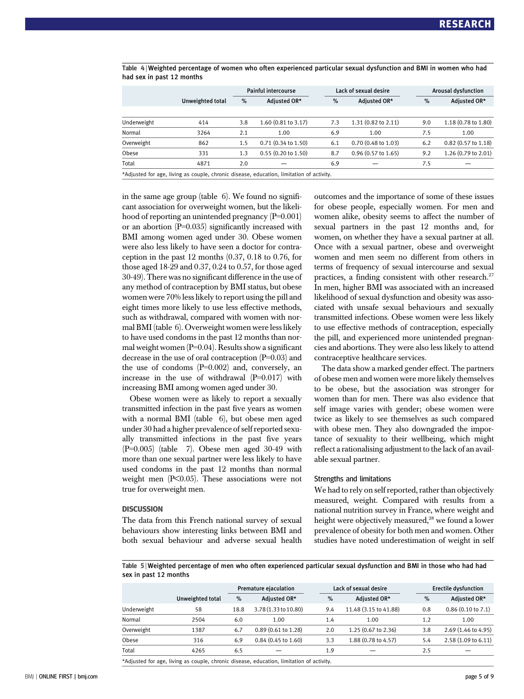|                                                                                          |                  | <b>Painful intercourse</b> |                               |     | Lack of sexual desire         |     | <b>Arousal dysfunction</b> |  |
|------------------------------------------------------------------------------------------|------------------|----------------------------|-------------------------------|-----|-------------------------------|-----|----------------------------|--|
|                                                                                          | Unweighted total | %                          | Adjusted OR*                  | %   | Adjusted OR*                  | %   | Adjusted OR*               |  |
|                                                                                          |                  |                            |                               |     |                               |     |                            |  |
| Underweight                                                                              | 414              | 3.8                        | 1.60 (0.81 to 3.17)           | 7.3 | 1.31 (0.82 to 2.11)           | 9.0 | 1.18 (0.78 to 1.80)        |  |
| Normal                                                                                   | 3264             | 2.1                        | 1.00                          | 6.9 | 1.00                          | 7.5 | 1.00                       |  |
| Overweight                                                                               | 862              | 1.5                        | $0.71(0.34 \text{ to } 1.50)$ | 6.1 | $0.70(0.48 \text{ to } 1.03)$ | 6.2 | $0.82$ (0.57 to 1.18)      |  |
| Obese                                                                                    | 331              | 1.3                        | $0.55(0.20 \text{ to } 1.50)$ | 8.7 | $0.96$ (0.57 to 1.65)         | 9.2 | 1.26 (0.79 to 2.01)        |  |
| Total                                                                                    | 4871             | 2.0                        |                               | 6.9 |                               | 7.5 |                            |  |
| *Adjusted for age, living as couple, chronic disease, education, limitation of activity. |                  |                            |                               |     |                               |     |                            |  |

Table 4 <sup>|</sup> Weighted percentage of women who often experienced particular sexual dysfunction and BMI in women who had had sex in past 12 months

in the same age group (table 6). We found no significant association for overweight women, but the likelihood of reporting an unintended pregnancy (P=0.001) or an abortion (P=0.035) significantly increased with BMI among women aged under 30. Obese women were also less likely to have seen a doctor for contraception in the past 12 months (0.37, 0.18 to 0.76, for those aged 18-29 and 0.37, 0.24 to 0.57, for those aged 30-49). There was no significant difference in the use of any method of contraception by BMI status, but obese women were 70% less likely to report using the pill and eight times more likely to use less effective methods, such as withdrawal, compared with women with normal BMI (table 6). Overweight women were less likely to have used condoms in the past 12 months than normal weight women (P=0.04). Results show a significant decrease in the use of oral contraception (P=0.03) and the use of condoms  $(P=0.002)$  and, conversely, an increase in the use of withdrawal (P=0.017) with increasing BMI among women aged under 30.

Obese women were as likely to report a sexually transmitted infection in the past five years as women with a normal BMI (table 6), but obese men aged under 30 had a higher prevalence of self reported sexually transmitted infections in the past five years  $(P=0.005)$  (table 7). Obese men aged 30-49 with more than one sexual partner were less likely to have used condoms in the past 12 months than normal weight men (P<0.05). These associations were not true for overweight men.

#### **DISCUSSION**

The data from this French national survey of sexual behaviours show interesting links between BMI and both sexual behaviour and adverse sexual health outcomes and the importance of some of these issues for obese people, especially women. For men and women alike, obesity seems to affect the number of sexual partners in the past 12 months and, for women, on whether they have a sexual partner at all. Once with a sexual partner, obese and overweight women and men seem no different from others in terms of frequency of sexual intercourse and sexual practices, a finding consistent with other research.<sup>27</sup> In men, higher BMI was associated with an increased likelihood of sexual dysfunction and obesity was associated with unsafe sexual behaviours and sexually transmitted infections. Obese women were less likely to use effective methods of contraception, especially the pill, and experienced more unintended pregnancies and abortions. They were also less likely to attend contraceptive healthcare services.

The data show a marked gender effect. The partners of obese men and women were more likely themselves to be obese, but the association was stronger for women than for men. There was also evidence that self image varies with gender; obese women were twice as likely to see themselves as such compared with obese men. They also downgraded the importance of sexuality to their wellbeing, which might reflect a rationalising adjustment to the lack of an available sexual partner.

#### Strengths and limitations

We had to rely on self reported, rather than objectively measured, weight. Compared with results from a national nutrition survey in France, where weight and height were objectively measured,<sup>28</sup> we found a lower prevalence of obesity for both men and women. Other studies have noted underestimation of weight in self

Table 5 <sup>|</sup> Weighted percentage of men who often experienced particular sexual dysfunction and BMI in those who had had sex in past 12 months

|             |                  | Premature ejaculation |                               |     | Lack of sexual desire | <b>Erectile dysfunction</b> |                     |
|-------------|------------------|-----------------------|-------------------------------|-----|-----------------------|-----------------------------|---------------------|
|             | Unweighted total | $\%$                  | Adjusted OR*                  | %   | Adjusted OR*          | %                           | Adjusted OR*        |
| Underweight | 58               | 18.8                  | 3.78 (1.33 to 10.80)          | 9.4 | 11.48 (3.15 to 41.88) | 0.8                         | 0.86(0.10 to 7.1)   |
| Normal      | 2504             | 6.0                   | 1.00                          | 1.4 | 1.00                  | 1.2                         | 1.00                |
| Overweight  | 1387             | 6.7                   | $0.89(0.61 \text{ to } 1.28)$ | 2.0 | 1.25 (0.67 to 2.36)   | 3.8                         | 2.69 (1.46 to 4.95) |
| Obese       | 316              | 6.9                   | $0.84$ (0.45 to 1.60)         | 3.3 | 1.88 (0.78 to 4.57)   | 5.4                         | 2.58 (1.09 to 6.11) |
| Total       | 4265             | 6.5                   |                               | 1.9 |                       | 2.5                         |                     |

\*Adjusted for age, living as couple, chronic disease, education, limitation of activity.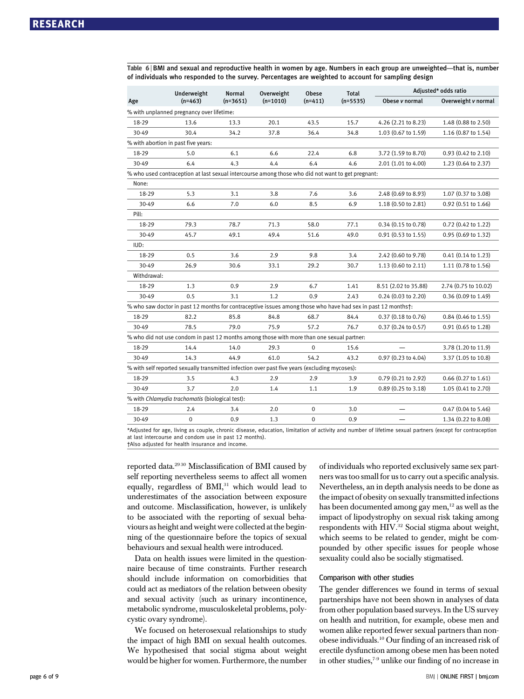Table 6 <sup>|</sup> BMI and sexual and reproductive health in women by age. Numbers in each group are unweighted—that is, number of individuals who responded to the survey. Percentages are weighted to account for sampling design

|                                           | Underweight                                                                                                  | <b>Normal</b> | Overweight | Obese       | <b>Total</b> | Adjusted* odds ratio          |                       |  |  |
|-------------------------------------------|--------------------------------------------------------------------------------------------------------------|---------------|------------|-------------|--------------|-------------------------------|-----------------------|--|--|
| Age                                       | $(n=463)$                                                                                                    | $(n=3651)$    | $(n=1010)$ | $(n=411)$   | $(n=5535)$   | Obese v normal                | Overweight v normal   |  |  |
| % with unplanned pregnancy over lifetime: |                                                                                                              |               |            |             |              |                               |                       |  |  |
| 18-29                                     | 13.6                                                                                                         | 13.3          | 20.1       | 43.5        | 15.7         | 4.26 (2.21 to 8.23)           | 1.48 (0.88 to 2.50)   |  |  |
| 30-49                                     | 30.4                                                                                                         | 34.2          | 37.8       | 36.4        | 34.8         | 1.03 (0.67 to 1.59)           | 1.16 (0.87 to 1.54)   |  |  |
|                                           | % with abortion in past five years:                                                                          |               |            |             |              |                               |                       |  |  |
| 18-29                                     | 5.0                                                                                                          | 6.1           | 6.6        | 22.4        | 6.8          | 3.72 (1.59 to 8.70)           | 0.93 (0.42 to 2.10)   |  |  |
| 30-49                                     | 6.4                                                                                                          | 4.3           | 4.4        | 6.4         | 4.6          | 2.01 (1.01 to 4.00)           | 1.23 (0.64 to 2.37)   |  |  |
|                                           | % who used contraception at last sexual intercourse among those who did not want to get pregnant:            |               |            |             |              |                               |                       |  |  |
| None:                                     |                                                                                                              |               |            |             |              |                               |                       |  |  |
| 18-29                                     | 5.3                                                                                                          | 3.1           | 3.8        | 7.6         | 3.6          | 2.48 (0.69 to 8.93)           | 1.07 (0.37 to 3.08)   |  |  |
| 30-49                                     | 6.6                                                                                                          | 7.0           | 6.0        | 8.5         | 6.9          | 1.18 (0.50 to 2.81)           | 0.92 (0.51 to 1.66)   |  |  |
| Pill:                                     |                                                                                                              |               |            |             |              |                               |                       |  |  |
| 18-29                                     | 79.3                                                                                                         | 78.7          | 71.3       | 58.0        | 77.1         | 0.34 (0.15 to 0.78)           | 0.72 (0.42 to 1.22)   |  |  |
| 30-49                                     | 45.7                                                                                                         | 49.1          | 49.4       | 51.6        | 49.0         | 0.91 (0.53 to 1.55)           | 0.95 (0.69 to 1.32)   |  |  |
| IUD:                                      |                                                                                                              |               |            |             |              |                               |                       |  |  |
| 18-29                                     | 0.5                                                                                                          | 3.6           | 2.9        | 9.8         | 3.4          | 2.42 (0.60 to 9.78)           | $0.41$ (0.14 to 1.23) |  |  |
| 30-49                                     | 26.9                                                                                                         | 30.6          | 33.1       | 29.2        | 30.7         | 1.13 (0.60 to 2.11)           | 1.11 (0.78 to 1.56)   |  |  |
| Withdrawal:                               |                                                                                                              |               |            |             |              |                               |                       |  |  |
| 18-29                                     | 1.3                                                                                                          | 0.9           | 2.9        | 6.7         | 1.41         | 8.51 (2.02 to 35.88)          | 2.74 (0.75 to 10.02)  |  |  |
| 30-49                                     | 0.5                                                                                                          | 3.1           | 1.2        | 0.9         | 2.43         | 0.24 (0.03 to 2.20)           | 0.36 (0.09 to 1.49)   |  |  |
|                                           | % who saw doctor in past 12 months for contraceptive issues among those who have had sex in past 12 months†: |               |            |             |              |                               |                       |  |  |
| 18-29                                     | 82.2                                                                                                         | 85.8          | 84.8       | 68.7        | 84.4         | 0.37(0.18 to 0.76)            | $0.84$ (0.46 to 1.55) |  |  |
| 30-49                                     | 78.5                                                                                                         | 79.0          | 75.9       | 57.2        | 76.7         | $0.37(0.24 \text{ to } 0.57)$ | 0.91 (0.65 to 1.28)   |  |  |
|                                           | % who did not use condom in past 12 months among those with more than one sexual partner:                    |               |            |             |              |                               |                       |  |  |
| 18-29                                     | 14.4                                                                                                         | 14.0          | 29.3       | 0           | 15.6         |                               | 3.78 (1.20 to 11.9)   |  |  |
| 30-49                                     | 14.3                                                                                                         | 44.9          | 61.0       | 54.2        | 43.2         | 0.97 (0.23 to 4.04)           | 3.37 (1.05 to 10.8)   |  |  |
|                                           | % with self reported sexually transmitted infection over past five years (excluding mycoses):                |               |            |             |              |                               |                       |  |  |
| 18-29                                     | 3.5                                                                                                          | 4.3           | 2.9        | 2.9         | 3.9          | 0.79 (0.21 to 2.92)           | 0.66 (0.27 to 1.61)   |  |  |
| 30-49                                     | 3.7                                                                                                          | 2.0           | 1.4        | 1.1         | 1.9          | $0.89(0.25 \text{ to } 3.18)$ | 1.05 (0.41 to 2.70)   |  |  |
|                                           | % with Chlamydia trachomatis (biological test):                                                              |               |            |             |              |                               |                       |  |  |
| 18-29                                     | 2.4                                                                                                          | 3.4           | 2.0        | $\mathbf 0$ | 3.0          |                               | 0.47 (0.04 to 5.46)   |  |  |
| 30-49                                     | $\pmb{0}$                                                                                                    | 0.9           | 1.3        | $\mathbf 0$ | 0.9          |                               | 1.34 (0.22 to 8.08)   |  |  |

\*Adjusted for age, living as couple, chronic disease, education, limitation of activity and number of lifetime sexual partners (except for contraception at last intercourse and condom use in past 12 months).

†Also adjusted for health insurance and income.

reported data.29 30 Misclassification of BMI caused by self reporting nevertheless seems to affect all women equally, regardless of  $BMI$ ,<sup>31</sup> which would lead to underestimates of the association between exposure and outcome. Misclassification, however, is unlikely to be associated with the reporting of sexual behaviours as height and weight were collected at the beginning of the questionnaire before the topics of sexual behaviours and sexual health were introduced.

Data on health issues were limited in the questionnaire because of time constraints. Further research should include information on comorbidities that could act as mediators of the relation between obesity and sexual activity (such as urinary incontinence, metabolic syndrome, musculoskeletal problems, polycystic ovary syndrome).

We focused on heterosexual relationships to study the impact of high BMI on sexual health outcomes. We hypothesised that social stigma about weight would be higher for women. Furthermore, the number of individuals who reported exclusively same sex partners was too small for us to carry out a specific analysis. Nevertheless, an in depth analysis needs to be done as the impact of obesity on sexually transmitted infections has been documented among gay men, $^{12}$  as well as the impact of lipodystrophy on sexual risk taking among respondents with HIV.32 Social stigma about weight, which seems to be related to gender, might be compounded by other specific issues for people whose sexuality could also be socially stigmatised.

#### Comparison with other studies

The gender differences we found in terms of sexual partnerships have not been shown in analyses of data from other population based surveys. In the US survey on health and nutrition, for example, obese men and women alike reported fewer sexual partners than nonobese individuals.10 Our finding of an increased risk of erectile dysfunction among obese men has been noted in other studies,7-9 unlike our finding of no increase in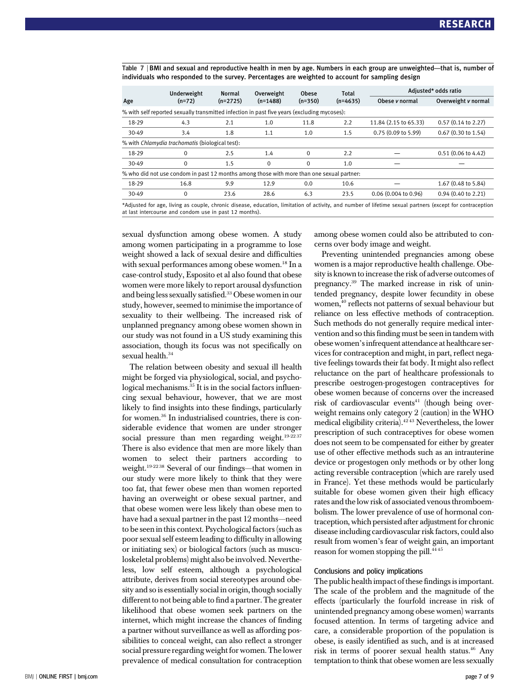Table 7 <sup>|</sup> BMI and sexual and reproductive health in men by age. Numbers in each group are unweighted—that is, number of individuals who responded to the survey. Percentages are weighted to account for sampling design

|                                                                                                                                                          | Underweight                                                                                 | <b>Normal</b> | Overweight  | Obese     | <b>Total</b><br>$(n=4635)$ | Adjusted* odds ratio  |                               |  |  |
|----------------------------------------------------------------------------------------------------------------------------------------------------------|---------------------------------------------------------------------------------------------|---------------|-------------|-----------|----------------------------|-----------------------|-------------------------------|--|--|
| Age                                                                                                                                                      | $(n=72)$                                                                                    | $(n=2725)$    | $(n=1488)$  | $(n=350)$ |                            | Obese <i>v</i> normal | Overweight v normal           |  |  |
|                                                                                                                                                          | % with self reported sexually transmitted infection in past five years (excluding mycoses): |               |             |           |                            |                       |                               |  |  |
| 18-29                                                                                                                                                    | 4.3                                                                                         | 2.1           | 1.0         | 11.8      | 2.2                        | 11.84 (2.15 to 65.33) | $0.57(0.14 \text{ to } 2.27)$ |  |  |
| 30-49                                                                                                                                                    | 3.4                                                                                         | 1.8           | 1.1         | 1.0       | 1.5                        | 0.75(0.09 to 5.99)    | $0.67$ (0.30 to 1.54)         |  |  |
|                                                                                                                                                          | % with Chlamydia trachomatis (biological test):                                             |               |             |           |                            |                       |                               |  |  |
| 18-29                                                                                                                                                    | $\Omega$                                                                                    | 2.5           | 1.4         | $\Omega$  | 2.2                        |                       | $0.51(0.06 \text{ to } 4.42)$ |  |  |
| 30-49                                                                                                                                                    | $\mathbf 0$                                                                                 | 1.5           | $\mathbf 0$ | $\Omega$  | 1.0                        |                       |                               |  |  |
|                                                                                                                                                          | % who did not use condom in past 12 months among those with more than one sexual partner.   |               |             |           |                            |                       |                               |  |  |
| 18-29                                                                                                                                                    | 16.8                                                                                        | 9.9           | 12.9        | 0.0       | 10.6                       |                       | 1.67 (0.48 to 5.84)           |  |  |
| 30-49                                                                                                                                                    | $\mathbf 0$                                                                                 | 23.6          | 28.6        | 6.3       | 23.5                       | 0.06(0.004 to 0.96)   | $0.94$ (0.40 to 2.21)         |  |  |
| *Adjusted for ago, living as sounted chronic disease education, limitation of astivity, and number of lifetime sexual partners (except for contrasention |                                                                                             |               |             |           |                            |                       |                               |  |  |

ion, limitation of activity, and number of lifetime sexual partners (except for contrac at last intercourse and condom use in past 12 months).

sexual dysfunction among obese women. A study among women participating in a programme to lose weight showed a lack of sexual desire and difficulties with sexual performances among obese women.<sup>18</sup> In a case-control study, Esposito et al also found that obese women were more likely to report arousal dysfunction and being less sexually satisfied.33 Obese women in our study, however, seemed to minimise the importance of sexuality to their wellbeing. The increased risk of unplanned pregnancy among obese women shown in our study was not found in a US study examining this association, though its focus was not specifically on sexual health.<sup>34</sup>

The relation between obesity and sexual ill health might be forged via physiological, social, and psychological mechanisms. $35$  It is in the social factors influencing sexual behaviour, however, that we are most likely to find insights into these findings, particularly for women.<sup>36</sup> In industrialised countries, there is considerable evidence that women are under stronger social pressure than men regarding weight. $19-2237$ There is also evidence that men are more likely than women to select their partners according to weight.19-22 38 Several of our findings—that women in our study were more likely to think that they were too fat, that fewer obese men than women reported having an overweight or obese sexual partner, and that obese women were less likely than obese men to have had a sexual partner in the past 12 months—need to be seen in this context. Psychological factors (such as poor sexual self esteem leading to difficulty in allowing or initiating sex) or biological factors (such as musculoskeletal problems) might also be involved. Nevertheless, low self esteem, although a psychological attribute, derives from social stereotypes around obesity and so is essentially social in origin, though socially different to not being able to find a partner. The greater likelihood that obese women seek partners on the internet, which might increase the chances of finding a partner without surveillance as well as affording possibilities to conceal weight, can also reflect a stronger social pressure regarding weight for women. The lower prevalence of medical consultation for contraception among obese women could also be attributed to concerns over body image and weight.

Preventing unintended pregnancies among obese women is a major reproductive health challenge. Obesity is known to increase the risk of adverse outcomes of pregnancy.39 The marked increase in risk of unintended pregnancy, despite lower fecundity in obese women,<sup>40</sup> reflects not patterns of sexual behaviour but reliance on less effective methods of contraception. Such methods do not generally require medical intervention and so this finding must be seen in tandem with obese women's infrequent attendance at healthcare services for contraception and might, in part, reflect negative feelings towards their fat body. It might also reflect reluctance on the part of healthcare professionals to prescribe oestrogen-progestogen contraceptives for obese women because of concerns over the increased risk of cardiovascular events $41$  (though being overweight remains only category 2 (caution) in the WHO medical eligibility criteria).42 43 Nevertheless, the lower prescription of such contraceptives for obese women does not seem to be compensated for either by greater use of other effective methods such as an intrauterine device or progestogen only methods or by other long acting reversible contraception (which are rarely used in France). Yet these methods would be particularly suitable for obese women given their high efficacy rates and the low risk of associated venous thromboembolism. The lower prevalence of use of hormonal contraception, which persisted after adjustment for chronic disease including cardiovascular risk factors, could also result from women's fear of weight gain, an important reason for women stopping the pill.<sup>4445</sup>

#### Conclusions and policy implications

The public health impact of these findings is important. The scale of the problem and the magnitude of the effects (particularly the fourfold increase in risk of unintended pregnancy among obese women) warrants focused attention. In terms of targeting advice and care, a considerable proportion of the population is obese, is easily identified as such, and is at increased risk in terms of poorer sexual health status.<sup>46</sup> Any temptation to think that obese women are less sexually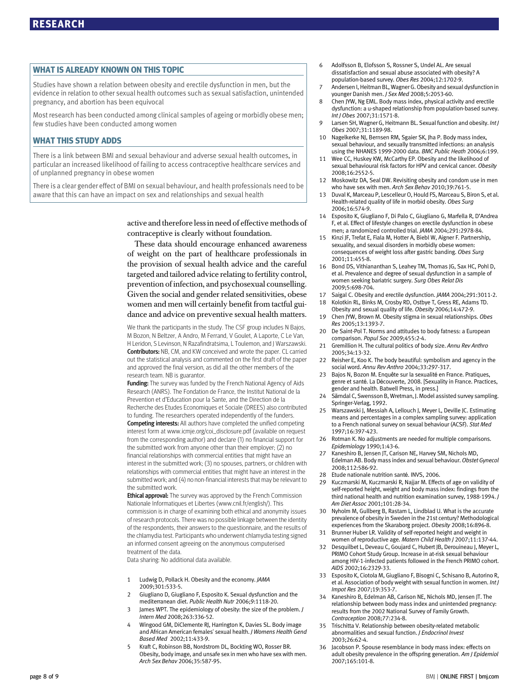#### WHAT IS ALREADY KNOWN ON THIS TOPIC

Studies have shown a relation between obesity and erectile dysfunction in men, but the evidence in relation to other sexual health outcomes such as sexual satisfaction, unintended pregnancy, and abortion has been equivocal

Most research has been conducted among clinical samples of ageing or morbidly obese men; few studies have been conducted among women

#### WHAT THIS STUDY ADDS

There is a link between BMI and sexual behaviour and adverse sexual health outcomes, in particular an increased likelihood of failing to access contraceptive healthcare services and of unplanned pregnancy in obese women

There is a clear gender effect of BMI on sexual behaviour, and health professionals need to be aware that this can have an impact on sex and relationships and sexual health

> active and therefore less in need of effective methods of contraceptive is clearly without foundation.

> These data should encourage enhanced awareness of weight on the part of healthcare professionals in the provision of sexual health advice and the careful targeted and tailored advice relating to fertility control, prevention of infection, and psychosexual counselling. Given the social and gender related sensitivities, obese women and men will certainly benefit from tactful guidance and advice on preventive sexual health matters.

> We thank the participants in the study. The CSF group includes N Bajos, M Bozon, N Beltzer, A Andro, M Ferrand, V Goulet, A Laporte, C Le Van, H Leridon, S Levinson, N Razafindratsima, L Toulemon, and J Warszawski. Contributors: NB, CM, and KW conceived and wrote the paper. CL carried out the statistical analysis and commented on the first draft of the paper and approved the final version, as did all the other members of the research team. NB is guarantor.

> Funding: The survey was funded by the French National Agency of Aids Research (ANRS). The Fondation de France, the Institut National de la Prevention et d'Education pour la Sante, and the Direction de la Recherche des Etudes Economiques et Sociale (DREES) also contributed to funding. The researchers operated independently of the funders.

> Competing interests: All authors have completed the unified competing interest form at www.icmje.org/coi\_disclosure.pdf (available on request from the corresponding author) and declare (1) no financial support for the submitted work from anyone other than their employer; (2) no financial relationships with commercial entities that might have an interest in the submitted work; (3) no spouses, partners, or children with relationships with commercial entities that might have an interest in the submitted work; and (4) no non-financial interests that may be relevant to the submitted work.

> **Ethical approval:** The survey was approved by the French Commission Nationale Informatiques et Libertes (www.cnil.fr/english/). This commission is in charge of examining both ethical and anonymity issues of research protocols. There was no possible linkage between the identity of the respondents, their answers to the questionnaire, and the results of the chlamydia test. Participants who underwent chlamydia testing signed an informed consent agreeing on the anonymous computerised treatment of the data.

Data sharing: No additional data available.

- 1 Ludwig D, Pollack H. Obesity and the economy. JAMA 2009;301:533-5.
- 2 Giugliano D, Giugliano F, Esposito K. Sexual dysfunction and the mediterranean diet. Public Health Nutr 2006;9:1118-20.
- 3 James WPT. The epidemiology of obesity: the size of the problem. J Intern Med 2008;263:336-52.
- 4 Wingood GM, DiClemente RJ, Harrington K, Davies SL. Body image and African American females' sexual health. J Womens Health Gend Based Med 2002;11:433-9.
- Kraft C, Robinson BB, Nordstrom DL, Bockting WO, Rosser BR. Obesity, body image, and unsafe sex in men who have sex with men. Arch Sex Behav 2006;35:587-95.
- 6 Adolfsson B, Elofsson S, Rossner S, Undel AL. Are sexual dissatisfaction and sexual abuse associated with obesity? A population-based survey. Obes Res 2004;12:1702-9.
- 7 Andersen I, Heitman BL, Wagner G. Obesity and sexual dysfunction in younger Danish men. J Sex Med 2008;5:2053-60.
- 8 Chen JYW, Ng EML. Body mass index, physical activity and erectile dysfunction: a u-shaped relationship from population-based survey. Int J Obes 2007;31:1571-8.
- 9 Larsen SH, Wagner G, Heitmann BL. Sexual function and obesity. Int J Obes 2007;31:1189-98.
- Nagelkerke NJ, Bernsen RM, Sgaier SK, Jha P. Body mass index, sexual behaviour, and sexually transmitted infections: an analysis using the NHANES 1999-2000 data. BMC Public Heath 2006;6:199.
- 11 Wee CC, Huskey KW, McCarthy EP. Obesity and the likelihood of sexual behavioural risk factors for HPV and cervical cancer. Obesity 2008;16:2552-5.
- 12 Moskowitz DA, Seal DW. Revisiting obesity and condom use in men who have sex with men. Arch Sex Behav 2010:39:761-5.
- Duval K, Marceau P, Lescelleur O, Hould FS, Marceau S, Biron S, et al. Health-related quality of life in morbid obesity. Obes Surg 2006;16:574-9.
- Esposito K, Giugliano F, Di Palo C, Giugliano G, Marfella R, D'Andrea F, et al. Effect of lifestyle changes on erectile dysfunction in obese men; a randomized controlled trial. JAMA 2004;291:2978-84.
- 15 Kinzi JF, Trefat E, Fiala M, Hotter A, Biebl W, Aigner F. Partnership, sexuality, and sexual disorders in morbidly obese women: consequences of weight loss after gastric banding. Obes Surg 2001;11:455-8.
- 16 Bond DS, Vithiananthan S, Leahey TM, Thomas JG, Sax HC, Pohl D, et al. Prevalence and degree of sexual dysfunction in a sample of women seeking bariatric surgery. Surg Obes Relat Dis 2009;5:698-704.
- 17 Saigal C. Obesity and erectile dysfunction. JAMA 2004;291:3011-2.
- 18 Kolotkin RL, Binks M, Crosby RD, Ostbye T, Gress RE, Adams TD. Obesity and sexual quality of life. Obesity 2006;14:472-9.
- 19 Chen JYW, Brown M. Obesity stigma in sexual relationships. Obes Res 2005;13:1393-7.
- 20 De Saint-Pol T. Norms and attitudes to body fatness: a European comparison. Popul Soc 2009;455:2-4.
- 21 Gremillion H. The cultural politics of body size. Annu Rev Anthro 2005;34:13-32.
- 22 Reisher E, Koo K. The body beautiful: symbolism and agency in the social word. Annu Rev Anthro 2004;33:297-317.
- 23 Bajos N, Bozon M. Enquête sur la sexualité en France. Pratiques, genre et santé. La Découverte, 2008. [Sexuality in France. Practices, gender and health. Batwell Press, in press.]
- Särndal C, Swensson B, Wretman, J. Model assisted survey sampling. Springer-Verlag, 1992.
- 25 Warszawski J, Messiah A, Lellouch J, Meyer L, Deville JC. Estimating means and percentages in a complex sampling survey: application to a French national survey on sexual behaviour (ACSF). Stat Med 1997;16:397-423.
- 26 Rotman K. No adjustments are needed for multiple comparisons. Epidemiology 1990;1:43-6.
- 27 Kaneshiro B, Jensen JT, Carison NE, Harvey SM, Nichols MD, Edelman AB. Body mass index and sexual behaviour. Obstet Gynecol 2008;112:586-92.
- 28 Etude nationale nutrition santé. INVS, 2006.
- 29 Kuczmarski M, Kuczmarski R, Najjar M. Effects of age on validity of self-reported height, weight and body mass index: findings from the third national health and nutrition examination survey, 1988-1994. J Am Diet Assoc 2001;101:28-34.
- 30 Nyholm M, Gullberg B, Rastam L, Lindblad U. What is the accurate prevalence of obesity in Sweden in the 21st century? Methodological experiences from the Skaraborg project. Obesity 2008;16:896-8.
- 31 Brunner Huber LR. Validity of self-reported height and weight in women of reproductive age. Matern Child Health J 2007;11:137-44.
- 32 Desquilbet L, Deveau C, Goujard C, Hubert JB, Derouineau J, Meyer L, PRIMO Cohort Study Group. Increase in at-risk sexual behaviour among HIV-1-infected patients followed in the French PRIMO cohort. AIDS 2002;16:2329-33.
- 33 Esposito K, Ciotola M, Giugliano F, Bisogni C, Schisano B, Autorino R, et al. Association of body weight with sexual function in women. Int J Impot Res 2007;19:353-7.
- 34 Kaneshiro B, Edelman AB, Carison NE, Nichols MD, Jensen JT. The relationship between body mass index and unintended pregnancy: results from the 2002 National Survey of Family Growth. Contraception 2008;77:234-8.
- 35 Trischitta V. Relationship between obesity-related metabolic abnormalities and sexual function. J Endocrinol Invest 2003;26:62-4.
- 36 Jacobson P. Spouse resemblance in body mass index: effects on adult obesity prevalence in the offspring generation. Am J Epidemiol 2007;165:101-8.